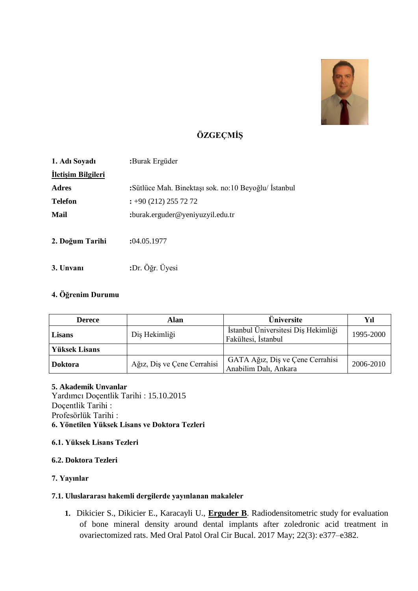

# **ÖZGEÇMİŞ**

| 1. Adı Soyadı             | :Burak Ergüder                                         |  |  |
|---------------------------|--------------------------------------------------------|--|--|
| <b>Iletişim Bilgileri</b> |                                                        |  |  |
| <b>Adres</b>              | : Sütlüce Mah. Binektaşı sok. no: 10 Beyoğlu/ İstanbul |  |  |
| <b>Telefon</b>            | $\div 90(212)$ 255 72 72                               |  |  |
| Mail                      | :burak.erguder@yeniyuzyil.edu.tr                       |  |  |
| 2. Doğum Tarihi           | :04.05.1977                                            |  |  |
| 3. Unvani                 | :Dr. Öğr. Üyesi                                        |  |  |

# **4. Öğrenim Durumu**

| <b>Derece</b>  | Alan                        | <b>Üniversite</b>                                          | Yıl       |
|----------------|-----------------------------|------------------------------------------------------------|-----------|
| Lisans         | Diş Hekimliği               | İstanbul Üniversitesi Diş Hekimliği<br>Fakültesi, İstanbul | 1995-2000 |
| Yüksek Lisans  |                             |                                                            |           |
| <b>Doktora</b> | Ağız, Diş ve Çene Cerrahisi | GATA Ağız, Diş ve Çene Cerrahisi<br>Anabilim Dalı, Ankara  | 2006-2010 |

#### **5. Akademik Unvanlar**

Yardımcı Doçentlik Tarihi : 15.10.2015 Doçentlik Tarihi : Profesörlük Tarihi : **6. Yönetilen Yüksek Lisans ve Doktora Tezleri**

# **6.1. Yüksek Lisans Tezleri**

## **6.2. Doktora Tezleri**

# **7. Yayınlar**

# **7.1. Uluslararası hakemli dergilerde yayınlanan makaleler**

**1.** Dikicier S., Dikicier E., Karacayli U., **Erguder B**. Radiodensitometric study for evaluation of bone mineral density around dental implants after zoledronic acid treatment in ovariectomized rats. Med Oral Patol Oral Cir Bucal. 2017 May; 22(3): e377–e382.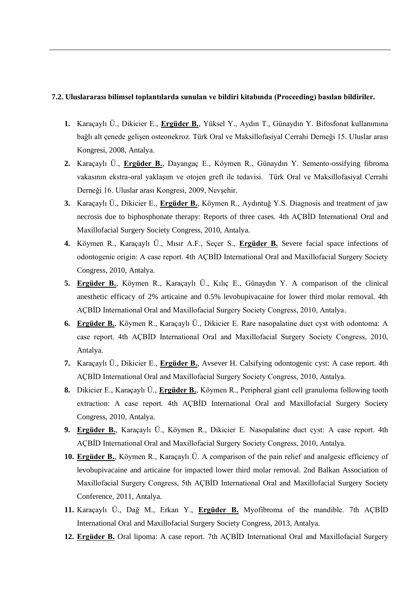#### **7.2. Uluslararası bilimsel toplantılarda sunulan ve bildiri kitabında (Proceeding) basılan bildiriler.**

- **1.** Karaçaylı Ü., Dikicier E., **Ergüder B.**, Yüksel Y., Aydın T., Günaydın Y. Bifosfonat kullanımına bağlı alt çenede gelişen osteonekroz. Türk Oral ve Maksillofasiyal Cerrahi Derneği 15. Uluslar arası Kongresi, 2008, Antalya.
- **2.** Karaçaylı Ü., **Ergüder B.**, Dayangaç E., Köymen R., Günaydın Y. Semento-ossifying fibroma vakasının ekstra-oral yaklaşım ve otojen greft ile tedavisi. Türk Oral ve Maksillofasiyal Cerrahi Derneği 16. Uluslar arası Kongresi, 2009, Nevşehir.
- **3.** Karaçaylı Ü., Dikicier E., **Ergüder B.**, Köymen R., Aydıntuğ Y.S. Diagnosis and treatment of jaw necrosis due to biphosphonate therapy: Reports of three cases. 4th AÇBİD International Oral and Maxillofacial Surgery Society Congress, 2010, Antalya.
- **4.** Köymen R., Karaçaylı Ü., Mısır A.F., Seçer S., **Ergüder B.** Severe facial space infections of odontogenic origin: A case report. 4th AÇBİD International Oral and Maxillofacial Surgery Society Congress, 2010, Antalya.
- **5. Ergüder B.**, Köymen R., Karaçaylı Ü., Kılıç E., Günaydın Y. A comparison of the clinical anesthetic efficacy of 2% articaine and 0.5% levobupivacaine for lower third molar removal. 4th AÇBİD International Oral and Maxillofacial Surgery Society Congress, 2010, Antalya.
- **6. Ergüder B.**, Köymen R., Karaçaylı Ü., Dikicier E. Rare nasopalatine duct cyst with odontoma: A case report. 4th AÇBİD International Oral and Maxillofacial Surgery Society Congress, 2010, Antalya.
- **7.** Karaçaylı Ü., Dikicier E., **Ergüder B.**, Avsever H. Calsifying odontogenic cyst: A case report. 4th AÇBİD International Oral and Maxillofacial Surgery Society Congress, 2010, Antalya.
- **8.** Dikicier E., Karaçaylı Ü., **Ergüder B.**, Köymen R., Peripheral giant cell granuloma following tooth extraction: A case report. 4th AÇBİD International Oral and Maxillofacial Surgery Society Congress, 2010, Antalya.
- **9. Ergüder B.**, Karaçaylı Ü., Köymen R., Dikicier E. Nasopalatine duct cyst: A case report. 4th AÇBİD International Oral and Maxillofacial Surgery Society Congress, 2010, Antalya.
- **10. Ergüder B.**, Köymen R., Karaçaylı Ü. A comparison of the pain relief and analgesic efficiency of levobupivacaine and articaine for impacted lower third molar removal. 2nd Balkan Association of Maxillofacial Surgery Congress, 5th AÇBİD International Oral and Maxillofacial Surgery Society Conference, 2011, Antalya.
- **11.** Karaçaylı Ü., Dağ M., Erkan Y., **Ergüder B.** Myofibroma of the mandible. 7th AÇBİD International Oral and Maxillofacial Surgery Society Congress, 2013, Antalya.
- **12. Ergüder B.** Oral lipoma: A case report. 7th AÇBİD International Oral and Maxillofacial Surgery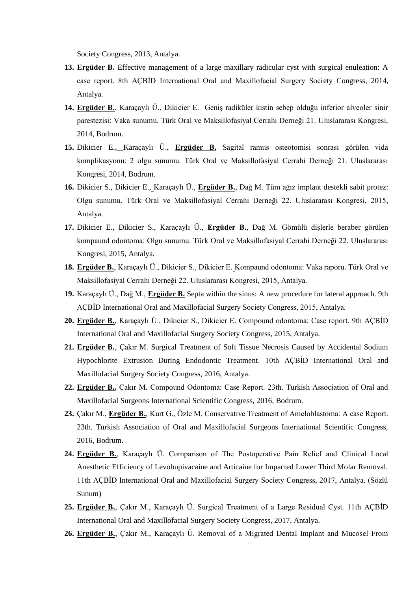Society Congress, 2013, Antalya.

- **13. Ergüder B.** Effective management of a large maxillary radicular cyst with surgical enuleation: A case report. 8th AÇBİD International Oral and Maxillofacial Surgery Society Congress, 2014, Antalya.
- **14. Ergüder B.**, Karaçaylı Ü., Dikicier E. Geniş radiküler kistin sebep olduğu inferior alveoler sinir parestezisi: Vaka sunumu. Türk Oral ve Maksillofasiyal Cerrahi Derneği 21. Uluslararası Kongresi, 2014, Bodrum.
- **15.** Dikicier E., Karaçaylı Ü., **Ergüder B.** Sagital ramus osteotomisi sonrası görülen vida komplikasyonu: 2 olgu sunumu. Türk Oral ve Maksillofasiyal Cerrahi Derneği 21. Uluslararası Kongresi, 2014, Bodrum.
- **16.** Dikicier S., Dikicier E., Karaçaylı Ü., **Ergüder B.**, Dağ M. Tüm ağız implant destekli sabit protez: Olgu sunumu. Türk Oral ve Maksillofasiyal Cerrahi Derneği 22. Uluslararası Kongresi, 2015, Antalya.
- **17.** Dikicier E., Dikicier S., Karaçaylı Ü., **Ergüder B.**, Dağ M. Gömülü dişlerle beraber görülen kompaund odontoma: Olgu sunumu. Türk Oral ve Maksillofasiyal Cerrahi Derneği 22. Uluslararası Kongresi, 2015, Antalya.
- **18. Ergüder B.**, Karaçaylı Ü., Dikicier S., Dikicier E. Kompaund odontoma: Vaka raporu. Türk Oral ve Maksillofasiyal Cerrahi Derneği 22. Uluslararası Kongresi, 2015, Antalya.
- **19.** Karaçaylı Ü., Dağ M., **Ergüder B.** Septa within the sinus: A new procedure for lateral approach. 9th AÇBİD International Oral and Maxillofacial Surgery Society Congress, 2015, Antalya.
- **20. Ergüder B.**, Karaçaylı Ü., Dikicier S., Dikicier E. Compound odontoma: Case report. 9th AÇBİD International Oral and Maxillofacial Surgery Society Congress, 2015, Antalya.
- **21. Ergüder B.**, Çakır M. Surgical Treatment of Soft Tissue Necrosis Caused by Accidental Sodium Hypochlorite Extrusion During Endodontic Treatment. 10th AÇBİD International Oral and Maxillofacial Surgery Society Congress, 2016, Antalya.
- **22. Ergüder B.,** Çakır M. Compound Odontoma: Case Report. 23th. Turkish Association of Oral and Maxillofacial Surgeons International Scientific Congress, 2016, Bodrum.
- **23.** Çakır M., **Ergüder B.**, Kurt G., Özle M. Conservative Treatment of Ameloblastoma: A case Report. 23th. Turkish Association of Oral and Maxillofacial Surgeons International Scientific Congress, 2016, Bodrum.
- **24. Ergüder B.**, Karaçaylı Ü. Comparison of The Postoperative Pain Relief and Clinical Local Anesthetic Efficiency of Levobupivacaine and Articaine for Impacted Lower Third Molar Removal. 11th AÇBİD International Oral and Maxillofacial Surgery Society Congress, 2017, Antalya. (Sözlü Sunum)
- **25. Ergüder B.**, Çakır M., Karaçaylı Ü. Surgical Treatment of a Large Residual Cyst. 11th AÇBİD International Oral and Maxillofacial Surgery Society Congress, 2017, Antalya.
- **26. Ergüder B.**, Çakır M., Karaçaylı Ü. Removal of a Migrated Dental Implant and Mucosel From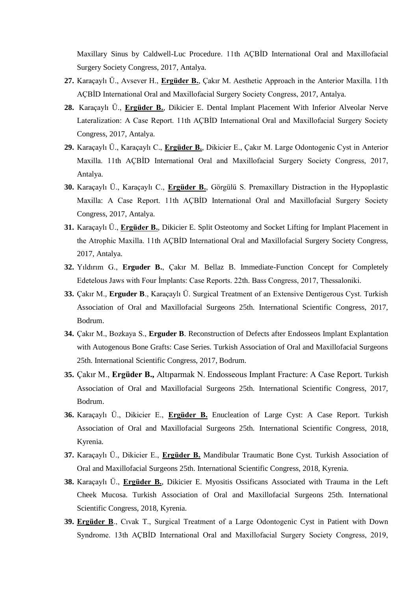Maxillary Sinus by Caldwell-Luc Procedure. 11th AÇBİD International Oral and Maxillofacial Surgery Society Congress, 2017, Antalya.

- **27.** Karaçaylı Ü., Avsever H., **Ergüder B.**, Çakır M. Aesthetic Approach in the Anterior Maxilla. 11th AÇBİD International Oral and Maxillofacial Surgery Society Congress, 2017, Antalya.
- **28.** Karaçaylı Ü., **Ergüder B.**, Dikicier E. Dental Implant Placement With Inferior Alveolar Nerve Lateralization: A Case Report. 11th AÇBİD International Oral and Maxillofacial Surgery Society Congress, 2017, Antalya.
- **29.** Karaçaylı Ü., Karaçaylı C., **Ergüder B.**, Dikicier E., Çakır M. Large Odontogenic Cyst in Anterior Maxilla. 11th AÇBİD International Oral and Maxillofacial Surgery Society Congress, 2017, Antalya.
- **30.** Karaçaylı Ü., Karaçaylı C., **Ergüder B.**, Görgülü S. Premaxillary Distraction in the Hypoplastic Maxilla: A Case Report. 11th AÇBİD International Oral and Maxillofacial Surgery Society Congress, 2017, Antalya.
- **31.** Karaçaylı Ü., **Ergüder B.**, Dikicier E. Split Osteotomy and Socket Lifting for Implant Placement in the Atrophic Maxilla. 11th AÇBİD International Oral and Maxillofacial Surgery Society Congress, 2017, Antalya.
- **32.** Yıldırım G., **Erguder B.**, Çakır M. Bellaz B. Immediate-Function Concept for Completely Edetelous Jaws with Four İmplants: Case Reports. 22th. Bass Congress, 2017, Thessaloniki.
- **33.** Çakır M., **Erguder B**., Karaçaylı Ü. Surgical Treatment of an Extensive Dentigerous Cyst. Turkish Association of Oral and Maxillofacial Surgeons 25th. International Scientific Congress, 2017, Bodrum.
- **34.** Çakır M., Bozkaya S., **Erguder B**. Reconstruction of Defects after Endosseos Implant Explantation with Autogenous Bone Grafts: Case Series. Turkish Association of Oral and Maxillofacial Surgeons 25th. International Scientific Congress, 2017, Bodrum.
- **35.** Çakır M., **Ergüder B.,** Altıparmak N. Endosseous Implant Fracture: A Case Report. Turkish Association of Oral and Maxillofacial Surgeons 25th. International Scientific Congress, 2017, Bodrum.
- **36.** Karaçaylı Ü., Dikicier E., **Ergüder B.** Enucleation of Large Cyst: A Case Report. Turkish Association of Oral and Maxillofacial Surgeons 25th. International Scientific Congress, 2018, Kyrenia.
- **37.** Karaçaylı Ü., Dikicier E., **Ergüder B.** Mandibular Traumatic Bone Cyst. Turkish Association of Oral and Maxillofacial Surgeons 25th. International Scientific Congress, 2018, Kyrenia.
- **38.** Karaçaylı Ü., **Ergüder B.**, Dikicier E. Myositis Ossificans Associated with Trauma in the Left Cheek Mucosa. Turkish Association of Oral and Maxillofacial Surgeons 25th. International Scientific Congress, 2018, Kyrenia.
- **39. Ergüder B**., Cıvak T., Surgical Treatment of a Large Odontogenic Cyst in Patient with Down Syndrome. 13th AÇBİD International Oral and Maxillofacial Surgery Society Congress, 2019,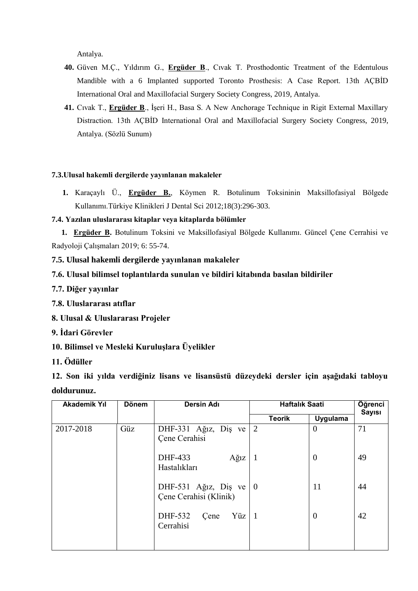Antalya.

- **40.** Güven M.Ç., Yıldırım G., **Ergüder B**., Cıvak T. Prosthodontic Treatment of the Edentulous Mandible with a 6 Implanted supported Toronto Prosthesis: A Case Report. 13th AÇBİD International Oral and Maxillofacial Surgery Society Congress, 2019, Antalya.
- **41.** Cıvak T., **Ergüder B**., İşeri H., Basa S. A New Anchorage Technique in Rigit External Maxillary Distraction. 13th AÇBİD International Oral and Maxillofacial Surgery Society Congress, 2019, Antalya. (Sözlü Sunum)

# **7.3.Ulusal hakemli dergilerde yayınlanan makaleler**

**1.** Karaçaylı Ü., **Ergüder B.**, Köymen R. Botulinum Toksininin Maksillofasiyal Bölgede Kullanımı.Türkiye Klinikleri J Dental Sci 2012;18(3):296-303.

# **7.4. Yazılan uluslararası kitaplar veya kitaplarda bölümler**

 **1. Ergüder B.** Botulinum Toksini ve Maksillofasiyal Bölgede Kullanımı. Güncel Çene Cerrahisi ve Radyoloji Çalışmaları 2019; 6: 55-74.

**7.5. Ulusal hakemli dergilerde yayınlanan makaleler** 

- **7.6. Ulusal bilimsel toplantılarda sunulan ve bildiri kitabında basılan bildiriler**
- **7.7. Diğer yayınlar**
- **7.8. Uluslararası atıflar**
- **8. Ulusal & Uluslararası Projeler**
- **9. İdari Görevler**
- **10. Bilimsel ve Mesleki Kuruluşlara Üyelikler**
- **11. Ödüller**

**12. Son iki yılda verdiğiniz lisans ve lisansüstü düzeydeki dersler için aşağıdaki tabloyu doldurunuz.**

| <b>Akademik Yıl</b> | <b>Dönem</b> | <b>Dersin Adı</b>                                                | <b>Haftalık Saati</b> |                | Öğrenci<br><b>Sayısı</b> |
|---------------------|--------------|------------------------------------------------------------------|-----------------------|----------------|--------------------------|
|                     |              |                                                                  | <b>Teorik</b>         | Uygulama       |                          |
| 2017-2018           | Güz          | DHF-331 Ağız, Diş ve $\vert 2 \vert$<br>Çene Cerahisi            |                       | $\overline{0}$ | 71                       |
|                     |              | DHF-433<br>$A\check{g}1Z$<br>Hastalıkları                        | -1                    | $\overline{0}$ | 49                       |
|                     |              | DHF-531 Ağız, Diş ve $\vert 0 \rangle$<br>Cene Cerahisi (Klinik) |                       | 11             | 44                       |
|                     |              | DHF-532<br>Yüz   $1$<br>Cene<br>Cerrahisi                        |                       | $\theta$       | 42                       |
|                     |              |                                                                  |                       |                |                          |